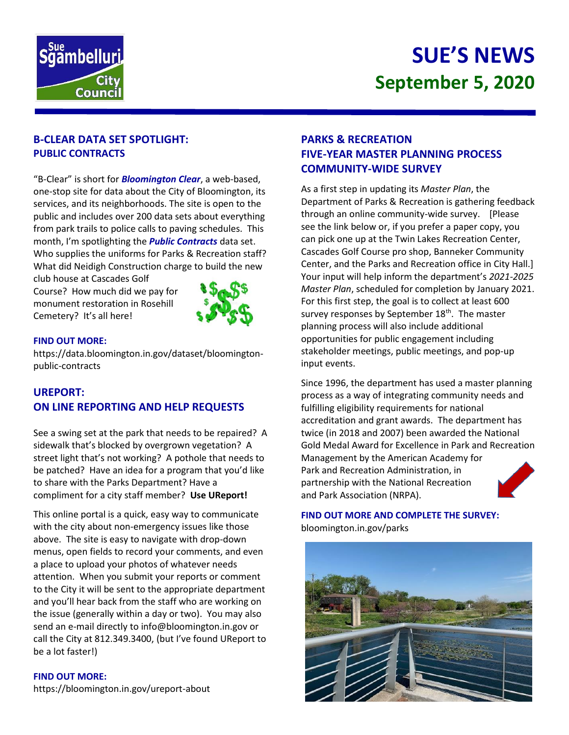

# **SUE'S NEWS September 5, 2020**

## **B-CLEAR DATA SET SPOTLIGHT: PUBLIC CONTRACTS**

"B-Clear" is short for *Bloomington Clear*, a web-based, one-stop site for data about the City of Bloomington, its services, and its neighborhoods. The site is open to the public and includes over 200 data sets about everything from park trails to police calls to paving schedules. This month, I'm spotlighting the *Public Contracts* data set. Who supplies the uniforms for Parks & Recreation staff? What did Neidigh Construction charge to build the new

club house at Cascades Golf Course? How much did we pay for monument restoration in Rosehill Cemetery? It's all here!



#### **FIND OUT MORE:**

https://data.bloomington.in.gov/dataset/bloomingtonpublic-contracts

# **UREPORT: ON LINE REPORTING AND HELP REQUESTS**

See a swing set at the park that needs to be repaired? A sidewalk that's blocked by overgrown vegetation? A street light that's not working? A pothole that needs to be patched? Have an idea for a program that you'd like to share with the Parks Department? Have a compliment for a city staff member? **Use UReport!**

This online portal is a quick, easy way to communicate with the city about non-emergency issues like those above. The site is easy to navigate with drop-down menus, open fields to record your comments, and even a place to upload your photos of whatever needs attention. When you submit your reports or comment to the City it will be sent to the appropriate department and you'll hear back from the staff who are working on the issue (generally within a day or two). You may also send an e-mail directly to info@bloomington.in.gov or call the City at 812.349.3400, (but I've found UReport to be a lot faster!)

#### **FIND OUT MORE:**

<https://bloomington.in.gov/ureport-about>

## **PARKS & RECREATION FIVE-YEAR MASTER PLANNING PROCESS COMMUNITY-WIDE SURVEY**

As a first step in updating its *Master Plan*, the Department of Parks & Recreation is gathering feedback through an online community-wide survey. [Please see the link below or, if you prefer a paper copy, you can pick one up at the Twin Lakes Recreation Center, Cascades Golf Course pro shop, Banneker Community Center, and the Parks and Recreation office in City Hall.] Your input will help inform the department's *2021-2025 Master Plan*, scheduled for completion by January 2021. For this first step, the goal is to collect at least 600 survey responses by September 18<sup>th</sup>. The master planning process will also include additional opportunities for public engagement including stakeholder meetings, public meetings, and pop-up input events.

Since 1996, the department has used a master planning process as a way of integrating community needs and fulfilling eligibility requirements for national accreditation and grant awards. The department has twice (in 2018 and 2007) been awarded the National Gold Medal Award for Excellence in Park and Recreation Management by the American Academy for Park and Recreation Administration, in partnership with the National Recreation and Park Association (NRPA).

**FIND OUT MORE AND COMPLETE THE SURVEY:** bloomington.in.gov/parks